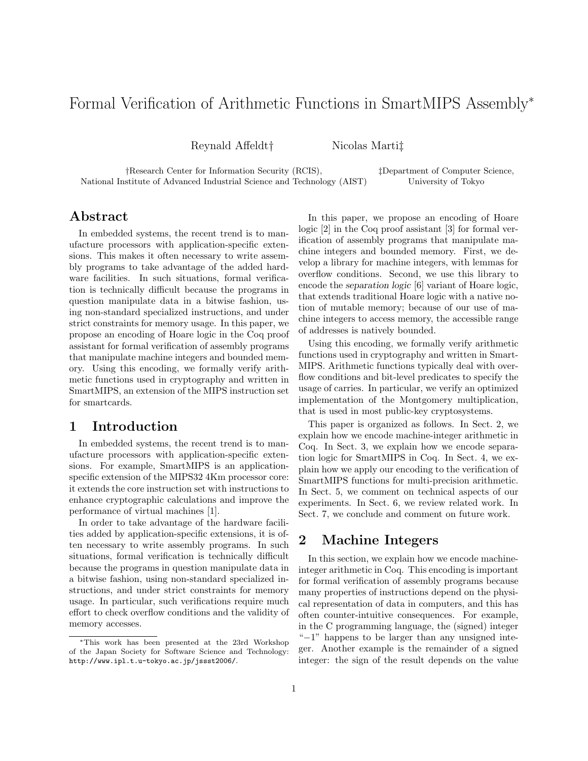# Formal Verification of Arithmetic Functions in SmartMIPS Assembly<sup>∗</sup>

Reynald Affeldt† Nicolas Marti‡

†Research Center for Information Security (RCIS), ‡Department of Computer Science, National Institute of Advanced Industrial Science and Technology (AIST) University of Tokyo

## Abstract

In embedded systems, the recent trend is to manufacture processors with application-specific extensions. This makes it often necessary to write assembly programs to take advantage of the added hardware facilities. In such situations, formal verification is technically difficult because the programs in question manipulate data in a bitwise fashion, using non-standard specialized instructions, and under strict constraints for memory usage. In this paper, we propose an encoding of Hoare logic in the Coq proof assistant for formal verification of assembly programs that manipulate machine integers and bounded memory. Using this encoding, we formally verify arithmetic functions used in cryptography and written in SmartMIPS, an extension of the MIPS instruction set for smartcards.

## 1 Introduction

In embedded systems, the recent trend is to manufacture processors with application-specific extensions. For example, SmartMIPS is an applicationspecific extension of the MIPS32 4Km processor core: it extends the core instruction set with instructions to enhance cryptographic calculations and improve the performance of virtual machines [1].

In order to take advantage of the hardware facilities added by application-specific extensions, it is often necessary to write assembly programs. In such situations, formal verification is technically difficult because the programs in question manipulate data in a bitwise fashion, using non-standard specialized instructions, and under strict constraints for memory usage. In particular, such verifications require much effort to check overflow conditions and the validity of memory accesses.

In this paper, we propose an encoding of Hoare logic [2] in the Coq proof assistant [3] for formal verification of assembly programs that manipulate machine integers and bounded memory. First, we develop a library for machine integers, with lemmas for overflow conditions. Second, we use this library to encode the separation logic [6] variant of Hoare logic, that extends traditional Hoare logic with a native notion of mutable memory; because of our use of machine integers to access memory, the accessible range of addresses is natively bounded.

Using this encoding, we formally verify arithmetic functions used in cryptography and written in Smart-MIPS. Arithmetic functions typically deal with overflow conditions and bit-level predicates to specify the usage of carries. In particular, we verify an optimized implementation of the Montgomery multiplication, that is used in most public-key cryptosystems.

This paper is organized as follows. In Sect. 2, we explain how we encode machine-integer arithmetic in Coq. In Sect. 3, we explain how we encode separation logic for SmartMIPS in Coq. In Sect. 4, we explain how we apply our encoding to the verification of SmartMIPS functions for multi-precision arithmetic. In Sect. 5, we comment on technical aspects of our experiments. In Sect. 6, we review related work. In Sect. 7, we conclude and comment on future work.

# 2 Machine Integers

In this section, we explain how we encode machineinteger arithmetic in Coq. This encoding is important for formal verification of assembly programs because many properties of instructions depend on the physical representation of data in computers, and this has often counter-intuitive consequences. For example, in the C programming language, the (signed) integer "−1" happens to be larger than any unsigned integer. Another example is the remainder of a signed integer: the sign of the result depends on the value

<sup>∗</sup>This work has been presented at the 23rd Workshop of the Japan Society for Software Science and Technology: http://www.ipl.t.u-tokyo.ac.jp/jssst2006/.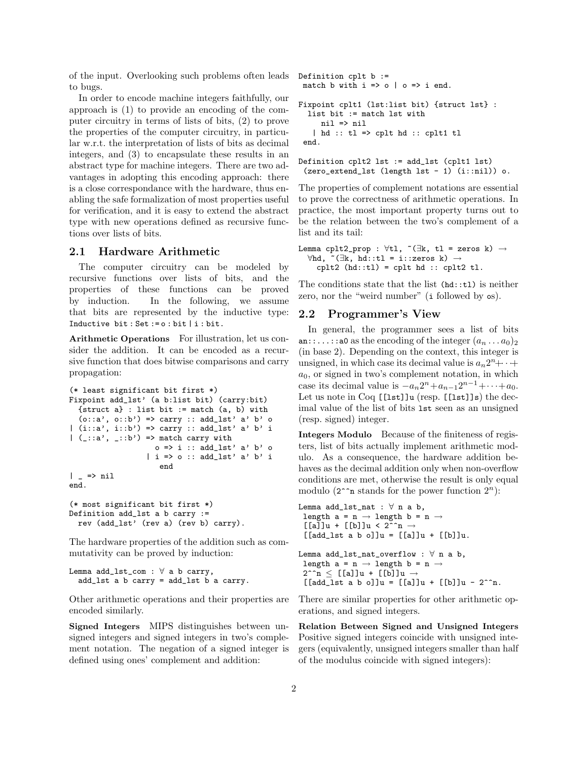of the input. Overlooking such problems often leads Definition cplt b := to bugs.

In order to encode machine integers faithfully, our approach is (1) to provide an encoding of the computer circuitry in terms of lists of bits, (2) to prove the properties of the computer circuitry, in particular w.r.t. the interpretation of lists of bits as decimal integers, and (3) to encapsulate these results in an abstract type for machine integers. There are two advantages in adopting this encoding approach: there is a close correspondance with the hardware, thus enabling the safe formalization of most properties useful for verification, and it is easy to extend the abstract type with new operations defined as recursive functions over lists of bits.

#### 2.1 Hardware Arithmetic

The computer circuitry can be modeled by recursive functions over lists of bits, and the properties of these functions can be proved by induction. In the following, we assume that bits are represented by the inductive type: Inductive bit : Set := o : bit | i : bit.

Arithmetic Operations For illustration, let us consider the addition. It can be encoded as a recursive function that does bitwise comparisons and carry propagation:

```
(* least significant bit first *)
Fixpoint add_lst' (a b:list bit) (carry:bit)
  {struct a} : list bit := match (a, b) with
  (o::a', o::b') \Rightarrow carry :: add\_lst' a' b' o| (i::a', i::b') => carry :: add_lst' a' b' i
| (-::a', -::b') \implies \text{match carry with}o \Rightarrow i :: add\_lst' a' b' o| i => o :: add_lst' a' b' i
                      end
| = > nil
end.
(* most significant bit first *)
Definition add_lst a b carry :=
```
The hardware properties of the addition such as commutativity can be proved by induction:

Lemma add\_lst\_com :  $\forall$  a b carry, add\_lst a b carry = add\_lst b a carry.

rev (add\_lst' (rev a) (rev b) carry).

Other arithmetic operations and their properties are encoded similarly.

Signed Integers MIPS distinguishes between unsigned integers and signed integers in two's complement notation. The negation of a signed integer is defined using ones' complement and addition:

```
match b with i \Rightarrow o \mid o \Rightarrow i end.
Fixpoint cplt1 (lst:list bit) {struct lst} :
  list bit := match lst with
     nil => nil
   | hd :: tl => cplt hd :: cplt1 tl
 end.
```

```
Definition cplt2 lst := add_lst (cplt1 lst)
 (zero_extend_lst (length lst - 1) (i::nil)) o.
```
The properties of complement notations are essential to prove the correctness of arithmetic operations. In practice, the most important property turns out to be the relation between the two's complement of a list and its tail:

```
Lemma cplt2_prop : \foralltl, ~(∃k, tl = zeros k) →
  \forallhd, ~(∃k, hd::tl = i::zeros k) →
    cplt2 (hd::tl) = cplt hd::cplt2 tl.
```
The conditions state that the list (hd::tl) is neither zero, nor the "weird number" (i followed by  $\infty$ ).

## 2.2 Programmer's View

In general, the programmer sees a list of bits an::...::a0 as the encoding of the integer  $(a_n \dots a_0)_2$ (in base 2). Depending on the context, this integer is unsigned, in which case its decimal value is  $a_n 2^n + \cdots + a_1$  $a_0$ , or signed in two's complement notation, in which case its decimal value is  $-a_n 2^n + a_{n-1} 2^{n-1} + \cdots + a_0$ . Let us note in Coq [[lst]]u (resp. [[lst]]s) the decimal value of the list of bits lst seen as an unsigned (resp. signed) integer.

Integers Modulo Because of the finiteness of registers, list of bits actually implement arithmetic modulo. As a consequence, the hardware addition behaves as the decimal addition only when non-overflow conditions are met, otherwise the result is only equal modulo  $(2^{\texttt{\sim}} n$  stands for the power function  $2^n$ ):

```
Lemma add_lst_nat : \forall n a b,
 length a = n \rightarrow length b = n \rightarrow[[a]]u + [[b]]u \leq 2^{\infty}n \rightarrow[[add_l]st a b o]]u = [a]]u + [b]]u.Lemma add\_lst\_nat\_overflow : \forall n a b,
 length a = n \rightarrow length b = n \rightarrow2^{\texttt{nn}} \leq [[a]]u + [[b]]u \rightarrow[[add_l]st a b o]]u = [a]]u + [b]]u - 2^m.
```
There are similar properties for other arithmetic operations, and signed integers.

Relation Between Signed and Unsigned Integers Positive signed integers coincide with unsigned integers (equivalently, unsigned integers smaller than half of the modulus coincide with signed integers):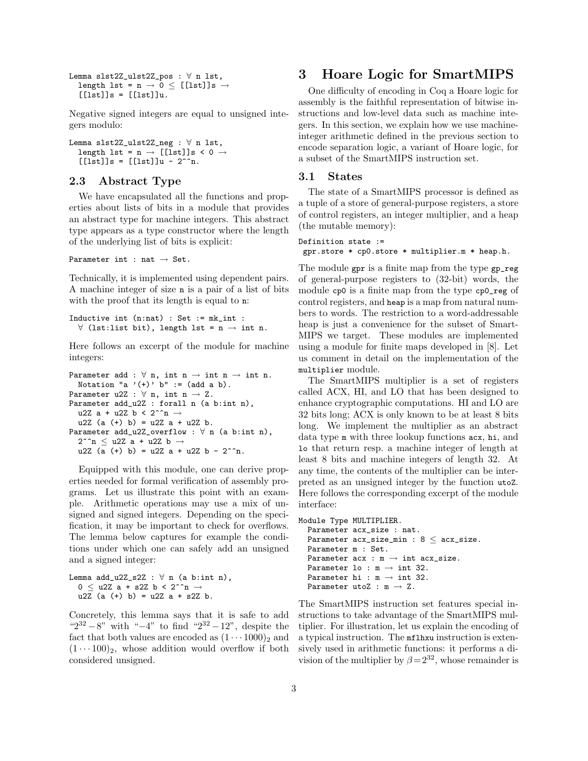```
Lemma slst2Z_ulst2Z_pos : ∀ n lst,
  length lst = n \rightarrow 0 \leq [[lst]]s \rightarrow[[lst]]s = [[lst]]u.
```
Negative signed integers are equal to unsigned integers modulo:

```
Lemma slst2Z_ulst2Z_neg : ∀ n lst,
  length lst = n \rightarrow [[lst]]s < 0 \rightarrow[[]st]]s = [[]st]]u - 2^^n.
```
#### 2.3 Abstract Type

We have encapsulated all the functions and properties about lists of bits in a module that provides an abstract type for machine integers. This abstract type appears as a type constructor where the length of the underlying list of bits is explicit:

Parameter int : nat  $\rightarrow$  Set.

Technically, it is implemented using dependent pairs. A machine integer of size n is a pair of a list of bits with the proof that its length is equal to n:

```
Inductive int (n:nat) : Set := mk_int :
  \forall (lst:list bit), length lst = n \rightarrow int n.
```
Here follows an excerpt of the module for machine integers:

```
Parameter add : \forall n, int n \rightarrow int n \rightarrow int n.
  Notation "a '(+)' b" := (add a b).
Parameter u2Z : \forall n, int n \rightarrow Z.
Parameter add_u2Z : forall n (a b:int n),
  u2Z a + u2Z b < 2^^n \rightarrowu2Z (a (+) b) = u2Z a + u2Z b.
Parameter add_u2Z_overflow : \forall n (a b:int n),
  2^{\texttt{m}} < u2Z a + u2Z b \rightarrowu2Z (a (+) b) = u2Z a + u2Z b - 2^^n.
```
Equipped with this module, one can derive properties needed for formal verification of assembly programs. Let us illustrate this point with an example. Arithmetic operations may use a mix of unsigned and signed integers. Depending on the specification, it may be important to check for overflows. The lemma below captures for example the conditions under which one can safely add an unsigned and a signed integer:

```
Lemma add_u2Z_s2Z : \forall n (a b:int n),
  0 \leq u2Z a + s2Z b < 2^^n \rightarrowu2Z (a (+) b) = u2Z a + s2Z b.
```
Concretely, this lemma says that it is safe to add " $2^{32} - 8$ " with " $-4$ " to find " $2^{32} - 12$ ", despite the fact that both values are encoded as  $(1 \cdots 1000)_2$  and  $(1 \cdots 100)_2$ , whose addition would overflow if both considered unsigned.

# 3 Hoare Logic for SmartMIPS

One difficulty of encoding in Coq a Hoare logic for assembly is the faithful representation of bitwise instructions and low-level data such as machine integers. In this section, we explain how we use machineinteger arithmetic defined in the previous section to encode separation logic, a variant of Hoare logic, for a subset of the SmartMIPS instruction set.

#### 3.1 States

The state of a SmartMIPS processor is defined as a tuple of a store of general-purpose registers, a store of control registers, an integer multiplier, and a heap (the mutable memory):

```
Definition state :=
gpr.store * cp0.store * multiplier.m * heap.h.
```
The module gpr is a finite map from the type gp\_reg of general-purpose registers to (32-bit) words, the module cp0 is a finite map from the type cp0\_reg of control registers, and heap is a map from natural numbers to words. The restriction to a word-addressable heap is just a convenience for the subset of Smart-MIPS we target. These modules are implemented using a module for finite maps developed in [8]. Let us comment in detail on the implementation of the multiplier module.

The SmartMIPS multiplier is a set of registers called ACX, HI, and LO that has been designed to enhance cryptographic computations. HI and LO are 32 bits long; ACX is only known to be at least 8 bits long. We implement the multiplier as an abstract data type m with three lookup functions acx, hi, and lo that return resp. a machine integer of length at least 8 bits and machine integers of length 32. At any time, the contents of the multiplier can be interpreted as an unsigned integer by the function utoZ. Here follows the corresponding excerpt of the module interface:

```
Module Type MULTIPLIER.
  Parameter acx_size : nat.
  Parameter acx_size_min : 8 \leq acx_size.
  Parameter m : Set.
  Parameter acx : m \rightarrow int acx\_size.
  Parameter lo : m \rightarrow int 32.
  Parameter hi : m \rightarrow int 32.
  Parameter utoZ : m \rightarrow Z.
```
The SmartMIPS instruction set features special instructions to take advantage of the SmartMIPS multiplier. For illustration, let us explain the encoding of a typical instruction. The mflhxu instruction is extensively used in arithmetic functions: it performs a division of the multiplier by  $\beta = 2^{32}$ , whose remainder is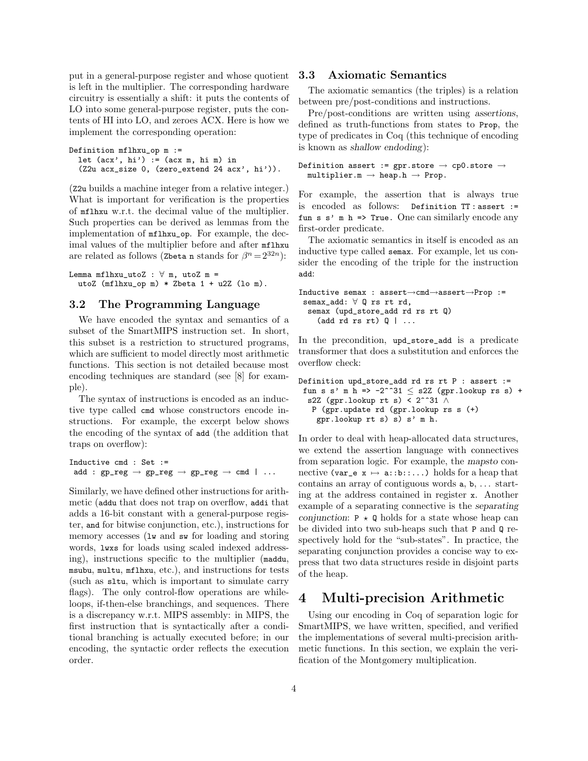put in a general-purpose register and whose quotient is left in the multiplier. The corresponding hardware circuitry is essentially a shift: it puts the contents of LO into some general-purpose register, puts the contents of HI into LO, and zeroes ACX. Here is how we implement the corresponding operation:

```
Definition mflhxu_op m :=
  let (ax', hi') := (acx m, hi m) in(Z2u acx_size 0, (zero_extend 24 acx', hi')).
```
(Z2u builds a machine integer from a relative integer.) What is important for verification is the properties of mflhxu w.r.t. the decimal value of the multiplier. Such properties can be derived as lemmas from the implementation of mflhxu\_op. For example, the decimal values of the multiplier before and after mflhxu are related as follows (Zbeta n stands for  $\beta^{n} = 2^{32n}$ ):

Lemma mflhxu\_utoZ :  $\forall$  m, utoZ m = utoZ (mflhxu\_op m) \* Zbeta 1 + u2Z (lo m).

#### 3.2 The Programming Language

We have encoded the syntax and semantics of a subset of the SmartMIPS instruction set. In short, this subset is a restriction to structured programs, which are sufficient to model directly most arithmetic functions. This section is not detailed because most encoding techniques are standard (see [8] for example).

The syntax of instructions is encoded as an inductive type called cmd whose constructors encode instructions. For example, the excerpt below shows the encoding of the syntax of add (the addition that traps on overflow):

```
Inductive cmd : Set :=
 add : gp_reg \rightarrow gp_reg \rightarrow gp_reg \rightarrow cmd | ...
```
Similarly, we have defined other instructions for arithmetic (addu that does not trap on overflow, addi that adds a 16-bit constant with a general-purpose register, and for bitwise conjunction, etc.), instructions for memory accesses (lw and sw for loading and storing words, lwxs for loads using scaled indexed addressing), instructions specific to the multiplier (maddu, msubu, multu, mflhxu, etc.), and instructions for tests (such as sltu, which is important to simulate carry flags). The only control-flow operations are whileloops, if-then-else branchings, and sequences. There is a discrepancy w.r.t. MIPS assembly: in MIPS, the first instruction that is syntactically after a conditional branching is actually executed before; in our encoding, the syntactic order reflects the execution order.

### 3.3 Axiomatic Semantics

The axiomatic semantics (the triples) is a relation between pre/post-conditions and instructions.

Pre/post-conditions are written using assertions, defined as truth-functions from states to Prop, the type of predicates in Coq (this technique of encoding is known as shallow endoding):

```
Definition assert := gpr.store \rightarrow cp0.store \rightarrowmultiplier.m \rightarrow heap.h \rightarrow Prop.
```
For example, the assertion that is always true is encoded as follows: Definition TT : assert := fun s  $s'$  m h => True. One can similarly encode any first-order predicate.

The axiomatic semantics in itself is encoded as an inductive type called semax. For example, let us consider the encoding of the triple for the instruction add:

```
Inductive semax : assert→cmd→assert→Prop :=
semax_add: ∀ Q rs rt rd,
  semax (upd_store_add rd rs rt Q)
    (add rd rs rt) Q \mid ...
```
In the precondition, upd\_store\_add is a predicate transformer that does a substitution and enforces the overflow check:

```
Definition upd_store_add rd rs rt P : assert :=
 fun s s' m h => -2^^31 \leq s2Z (gpr.lookup rs s) +
  s2Z (gpr.lookup rt s) < 2^{\texttt{^331}} \landP (gpr.update rd (gpr.lookup rs s (+)
    gpr.lookup rt s) s) s' m h.
```
In order to deal with heap-allocated data structures, we extend the assertion language with connectives from separation logic. For example, the mapsto connective (var\_e  $x \mapsto a::b::..$ ) holds for a heap that contains an array of contiguous words a, b, . . . starting at the address contained in register x. Another example of a separating connective is the separating conjunction:  $P \star Q$  holds for a state whose heap can be divided into two sub-heaps such that P and Q respectively hold for the "sub-states". In practice, the separating conjunction provides a concise way to express that two data structures reside in disjoint parts of the heap.

# 4 Multi-precision Arithmetic

Using our encoding in Coq of separation logic for SmartMIPS, we have written, specified, and verified the implementations of several multi-precision arithmetic functions. In this section, we explain the verification of the Montgomery multiplication.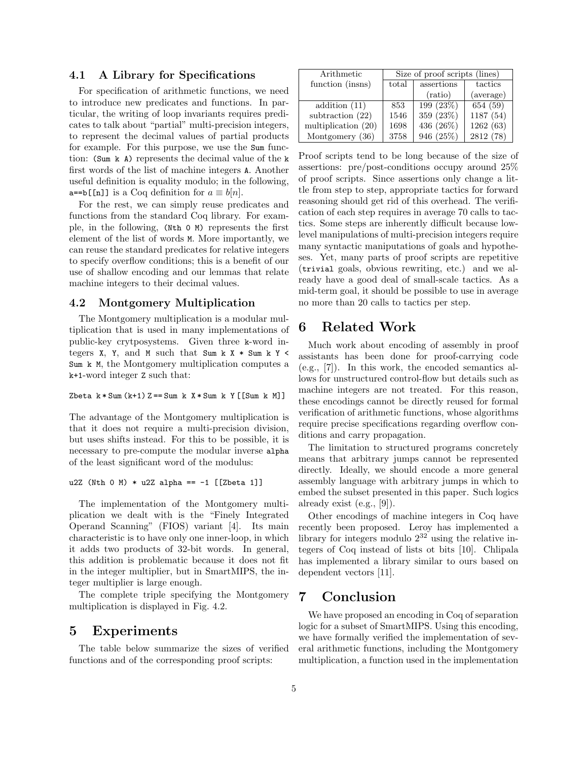### 4.1 A Library for Specifications

For specification of arithmetic functions, we need to introduce new predicates and functions. In particular, the writing of loop invariants requires predicates to talk about "partial" multi-precision integers, to represent the decimal values of partial products for example. For this purpose, we use the Sum function: (Sum k A) represents the decimal value of the k first words of the list of machine integers A. Another useful definition is equality modulo; in the following,  $a==b[$ [n]] is a Coq definition for  $a \equiv b[n]$ .

For the rest, we can simply reuse predicates and functions from the standard Coq library. For example, in the following, (Nth 0 M) represents the first element of the list of words M. More importantly, we can reuse the standard predicates for relative integers to specify overflow conditions; this is a benefit of our use of shallow encoding and our lemmas that relate machine integers to their decimal values.

#### 4.2 Montgomery Multiplication

The Montgomery multiplication is a modular multiplication that is used in many implementations of public-key crytposystems. Given three k-word integers  $X$ ,  $Y$ , and  $M$  such that Sum k  $X *$  Sum k  $Y$  < Sum k M, the Montgomery multiplication computes a k+1-word integer Z such that:

#### Zbeta  $k * Sum(k+1)$  Z = = Sum k  $X * Sum$  k Y [[Sum k M]]

The advantage of the Montgomery multiplication is that it does not require a multi-precision division, but uses shifts instead. For this to be possible, it is necessary to pre-compute the modular inverse alpha of the least significant word of the modulus:

u2Z (Nth 0 M) \* u2Z alpha ==  $-1$  [[Zbeta 1]]

The implementation of the Montgomery multiplication we dealt with is the "Finely Integrated Operand Scanning" (FIOS) variant [4]. Its main characteristic is to have only one inner-loop, in which it adds two products of 32-bit words. In general, this addition is problematic because it does not fit in the integer multiplier, but in SmartMIPS, the integer multiplier is large enough.

The complete triple specifying the Montgomery multiplication is displayed in Fig. 4.2.

## 5 Experiments

The table below summarize the sizes of verified functions and of the corresponding proof scripts:

| Arithmetic          | Size of proof scripts (lines) |            |           |
|---------------------|-------------------------------|------------|-----------|
| function (insns)    | total                         | assertions | tactics   |
|                     |                               | (ratio)    | (average) |
| addition $(11)$     | 853                           | 199 (23\%) | 654 (59)  |
| subtraction $(22)$  | 1546                          | 359 (23%)  | 1187 (54) |
| multiplication (20) | 1698                          | 436 (26%)  | 1262(63)  |
| Montgomery (36)     | 3758                          | 946 (25%)  | 2812 (78) |

Proof scripts tend to be long because of the size of assertions: pre/post-conditions occupy around 25% of proof scripts. Since assertions only change a little from step to step, appropriate tactics for forward reasoning should get rid of this overhead. The verification of each step requires in average 70 calls to tactics. Some steps are inherently difficult because lowlevel manipulations of multi-precision integers require many syntactic maniputations of goals and hypotheses. Yet, many parts of proof scripts are repetitive (trivial goals, obvious rewriting, etc.) and we already have a good deal of small-scale tactics. As a mid-term goal, it should be possible to use in average no more than 20 calls to tactics per step.

# 6 Related Work

Much work about encoding of assembly in proof assistants has been done for proof-carrying code (e.g., [7]). In this work, the encoded semantics allows for unstructured control-flow but details such as machine integers are not treated. For this reason, these encodings cannot be directly reused for formal verification of arithmetic functions, whose algorithms require precise specifications regarding overflow conditions and carry propagation.

The limitation to structured programs concretely means that arbitrary jumps cannot be represented directly. Ideally, we should encode a more general assembly language with arbitrary jumps in which to embed the subset presented in this paper. Such logics already exist (e.g., [9]).

Other encodings of machine integers in Coq have recently been proposed. Leroy has implemented a library for integers modulo  $2^{32}$  using the relative integers of Coq instead of lists ot bits [10]. Chlipala has implemented a library similar to ours based on dependent vectors [11].

## 7 Conclusion

We have proposed an encoding in Coq of separation logic for a subset of SmartMIPS. Using this encoding, we have formally verified the implementation of several arithmetic functions, including the Montgomery multiplication, a function used in the implementation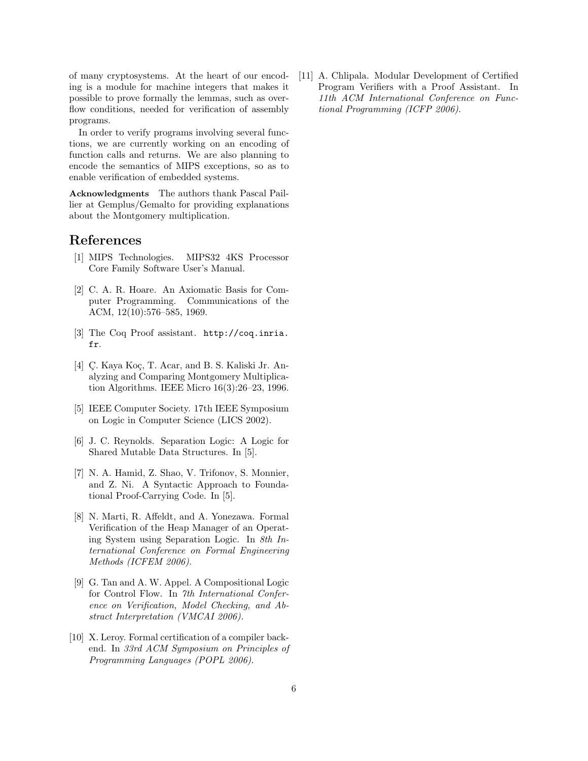of many cryptosystems. At the heart of our encoding is a module for machine integers that makes it possible to prove formally the lemmas, such as overflow conditions, needed for verification of assembly programs.

In order to verify programs involving several functions, we are currently working on an encoding of function calls and returns. We are also planning to encode the semantics of MIPS exceptions, so as to enable verification of embedded systems.

Acknowledgments The authors thank Pascal Paillier at Gemplus/Gemalto for providing explanations about the Montgomery multiplication.

# References

- [1] MIPS Technologies. MIPS32 4KS Processor Core Family Software User's Manual.
- [2] C. A. R. Hoare. An Axiomatic Basis for Computer Programming. Communications of the ACM, 12(10):576–585, 1969.
- [3] The Coq Proof assistant. http://coq.inria. fr.
- [4] C. Kaya Koç, T. Acar, and B. S. Kaliski Jr. Analyzing and Comparing Montgomery Multiplication Algorithms. IEEE Micro 16(3):26–23, 1996.
- [5] IEEE Computer Society. 17th IEEE Symposium on Logic in Computer Science (LICS 2002).
- [6] J. C. Reynolds. Separation Logic: A Logic for Shared Mutable Data Structures. In [5].
- [7] N. A. Hamid, Z. Shao, V. Trifonov, S. Monnier, and Z. Ni. A Syntactic Approach to Foundational Proof-Carrying Code. In [5].
- [8] N. Marti, R. Affeldt, and A. Yonezawa. Formal Verification of the Heap Manager of an Operating System using Separation Logic. In 8th International Conference on Formal Engineering Methods (ICFEM 2006).
- [9] G. Tan and A. W. Appel. A Compositional Logic for Control Flow. In 7th International Conference on Verification, Model Checking, and Abstract Interpretation (VMCAI 2006).
- [10] X. Leroy. Formal certification of a compiler backend. In 33rd ACM Symposium on Principles of Programming Languages (POPL 2006).

[11] A. Chlipala. Modular Development of Certified Program Verifiers with a Proof Assistant. In 11th ACM International Conference on Functional Programming (ICFP 2006).